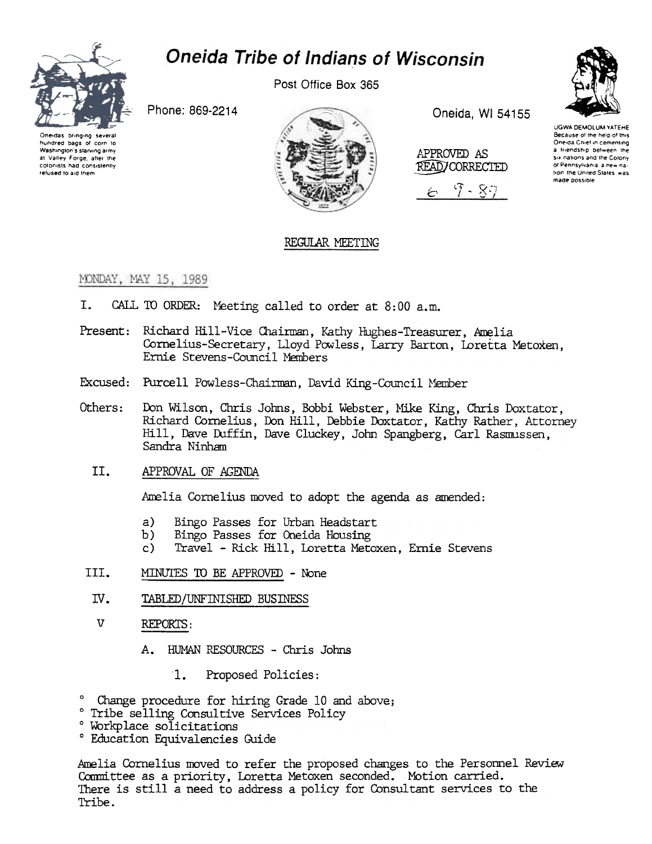

# Oneida Tribe of Indians of Wisconsin

Post Office Box 365

Phone: 869-2214





Oneida, WI 54155







UGWA DEMOLUM YATEHE Because of the help of this Oneida Chief in cementing a friendship between the six nations and the Colony of Pennsylvania, a new nation the United States was made possible

## REGULAR MEETING

### MONDAY, MAY 15, 1989

- $\mathbf{I}$ . CALL TO ORDER: Meeting called to order at 8:00 a.m.
- Present: Richard Hill-Vice Chairman, Kathy Hughes-Treasurer, Amelia Cornelius-Secretary, Lloyd Powless, Larry Barton, Loretta Metoxen, Ernie Stevens-Council Members
- Excused: Purcell Powless-Chairman, David King-Council Member
- Others: Don Wilson, Chris Johns, Bobbi Webster, Mike King, Chris Doxtator, Richard Cornelius, Don Hill, Debbie Doxtator, Kathy Rather, Attorney Hill, Dave Duffin, Dave Cluckey, John Spangberg, Carl Rasmussen, Sandra Ninham
	- II. APPROVAL OF AGENDA

Amelia Cornelius moved to adopt the agenda as amended:

- a) Bingo Passes for Urban Headstart
- b) Bingo Passes for Oneida Housing
- Travel Rick Hill, Loretta Metoxen, Ernie Stevens  $c)$
- III. MINUTES TO BE APPROVED - None
- IV. TABLED/UNFINISHED BUSINESS
- $\overline{V}$ REPORTS:
	- HUMAN RESOURCES Chris Johns A.
		- $\mathbf{1}$ . Proposed Policies:
- ° Change procedure for hiring Grade 10 and above;
- ° Tribe selling Consultive Services Policy
- ° Workplace solicitations
- ° Education Equivalencies Guide

Amelia Cornelius moved to refer the proposed changes to the Personnel Review Committee as a priority, Loretta Metoxen seconded. Motion carried. There is still a need to address a policy for Consultant services to the Tribe.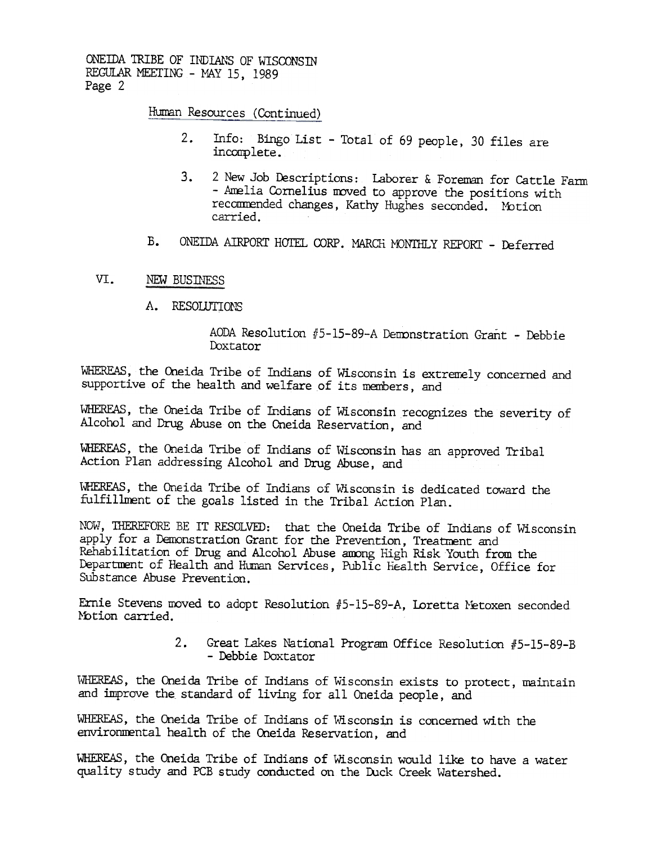ONEIDA TRIBE OF INDIANS OF WISCONSIN REGULAR MEETING - MAY 15, 1989 Page 2

Human Resources (Continued)

- Info: Bingo List Total of 69 people, 30 files are  $2.$ incomplete.
- 2 New Job Descriptions: Laborer & Foreman for Cattle Farm  $3.$ - Amelia Cornelius moved to approve the positions with recommended changes, Kathy Hughes seconded. Motion carried.
- $B<sub>1</sub>$ ONEIDA AIRPORT HOTEL CORP. MARCH MONTHLY REPORT - Deferred

#### $VT_{-}$ NEW BUSINESS

A. RESOLUTIONS

AODA Resolution #5-15-89-A Demonstration Grant - Debbie Doxtator

WHEREAS, the Oneida Tribe of Indians of Wisconsin is extremely concerned and supportive of the health and welfare of its members, and

WHEREAS, the Oneida Tribe of Indians of Wisconsin recognizes the severity of Alcohol and Drug Abuse on the Oneida Reservation, and

WHEREAS, the Oneida Tribe of Indians of Wisconsin has an approved Tribal Action Plan addressing Alcohol and Drug Abuse, and

WHEREAS, the Oneida Tribe of Indians of Wisconsin is dedicated toward the fulfillment of the goals listed in the Tribal Action Plan.

NOW, THEREFORE BE IT RESOLVED: that the Oneida Tribe of Indians of Wisconsin apply for a Demonstration Grant for the Prevention, Treatment and Rehabilitation of Drug and Alcohol Abuse among High Risk Youth from the Department of Health and Human Services, Public Health Service, Office for Substance Abuse Prevention.

Ernie Stevens moved to adopt Resolution #5-15-89-A, Loretta Metoxen seconded Motion carried.

> 2. Great Lakes National Program Office Resolution #5-15-89-B - Debbie Doxtator

WHEREAS, the Oneida Tribe of Indians of Wisconsin exists to protect, maintain and improve the standard of living for all Oneida people, and

WHEREAS, the Oneida Tribe of Indians of Wisconsin is concerned with the environmental health of the Oneida Reservation, and

WHEREAS, the Oneida Tribe of Indians of Wisconsin would like to have a water quality study and PCB study conducted on the Duck Creek Watershed.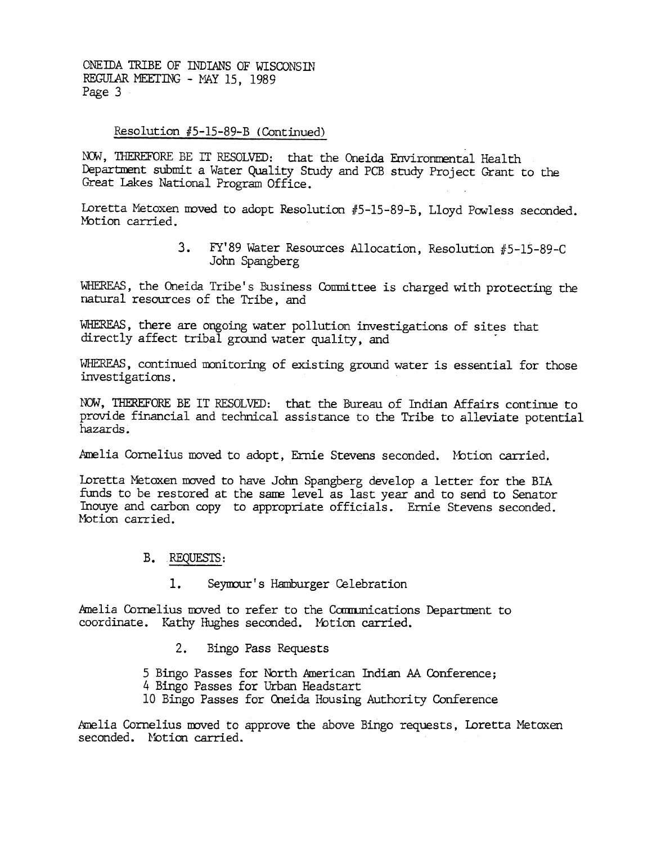ONEIDA TRIBE OF INDIANS OF WISCONSIN REGULAR MEETING - MAY 15, 1989 Page 3

### Resolution #5-15-89-B (Continued)

NOW, THEREFORE BE IT RESOLVED: that the Oneida Environmental Health Department submit a Water Quality Study and PCB study Project Grant to the Great Lakes National Program Office.

Loretta Metoxen moved to adopt Resolution #5-15-89-B, Lloyd Powless seconded. Motion carried.

> 3. FY'89 Water Resources Allocation, Resolution #5-15-89-C John Spangberg

WHEREAS, the Oneida Tribe's Business Committee is charged with protecting the natural resources of the Tribe, and

WHEREAS, there are ongoing water pollution investigations of sites that directly affect tribal ground water quality, and

WHEREAS, continued monitoring of existing ground water is essential for those investigations.

NOW, THEREFORE BE IT RESOLVED: that the Bureau of Indian Affairs continue to provide financial and technical assistance to the Tribe to alleviate potential hazards .

Amelia Cornelius moved to adopt, Ernie Stevens seconded. Motion carried.

Ioretta Metoxen moved to have John Spangberg develop a letter for the BIA funds to be restored at the same level as last year and to send to Senator Inouye and carbon copy to appropriate officials. Ernie Stevens seconded. Motion carried.

### B. REQUESTS:

1. Seyrour's Hamburger Celebration

Amelia Cornelius moved to refer to the Communications Department to coordinate. Kathy Hughes seconded. Motion carried.

2. Bingo Pass Requests

5 Bingo Passes for North American Indian AA Conference; 4 Bingo Passes for urban Headstart 10 Bingo Passes for Oneida Housing Authority Conference

Amelia Cornelius moved to approve the above Bingo requests, Loretta Metoxen seconded. Notion carried.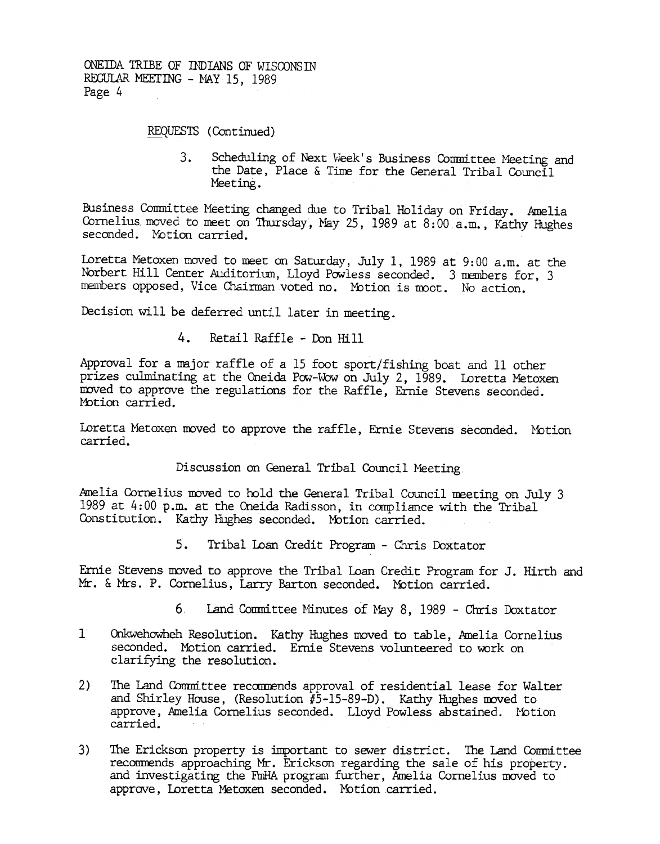REQUESTS (Continued)

 $3.$ Scheduling of Next Week's Business Committee Meeting and the Date, Place & Time for the General Tribal Council Meeting.

Business Committee Meeting changed due to Tribal Holiday on Friday. Amelia Cornelius moved to meet on Thursday, May 25, 1989 at 8:00 a.m., Kathy Hughes seconded. Motion carried.

Loretta Metoxen moved to meet on Saturday, July 1, 1989 at 9:00 a.m. at the Norbert Hill Center Auditorium, Lloyd Powless seconded. 3 members for, 3 members opposed, Vice Chairman voted no. Motion is moot. No action

Decision will be deferred until later in meeting.

Retail Raffle - Don Hill  $4.$ 

Approval for a major raffle of a 15 foot sport/fishing boat and 11 other prizes culminating at the Oneida Pow-Wow on July 2, 1989. Loretta Metoxen moved to approve the regulations for the Raffle, Ernie Stevens seconded. Motion carried.

Loretta Metoxen moved to approve the raffle, Ernie Stevens seconded. Motio carried.

Discussion on General Tribal Council Meeting.

Amelia Cornelius moved to hold the General Tribal Council meeting on July 3 1989 at  $4:00$  p.m. at the Oneida Radisson, in compliance with the Tribal Constitution. Kathy Hughes seconded. Motion carried.

Ernie Stevens moved to approve the Tribal Loan Credit Program for J. Hirth and Mr. & Mrs. P. Cornelius, Larry Barton seconded. Motion carried.

- 6 Land Committee Minutes of May 8, 1989 Chris Doxtator
- 1 Onkwehowheh Resolution. Kathy Hughes moved to table, Amelia Cornelius seconded. Motion carried. Ernie Stevens volunteered to work on clarifying the resolution.
- 2) The Land Committee recommends approval of residential lease for Walter and Shirley House, (Resolution  $#5-15-89-D$ ). Kathy Hughes moved to approve, Amelia Cornelius seconded. Lloyd Powless abstained. Motion carried.
- 5. Tribal Loan Credit Program Chris Doxtat<br>
Ernie Stevens moved to approve the Tribal Loan Credit Program<br>
Mr. & Mrs. P. Cornelius, Larry Barton seconded. Motion carri<br>
6. Land Committee Minutes of May 8, 1989 C<br>
1 Onk 3) The Erickson property is important to sewer district. The Land Committee recommends approadhing Mr. Erickson regarding the sale of his property. and investigating the FrnHA program further, Amelia Cornelius moved to approve, Loretta Metoxen seconded. Motion carried.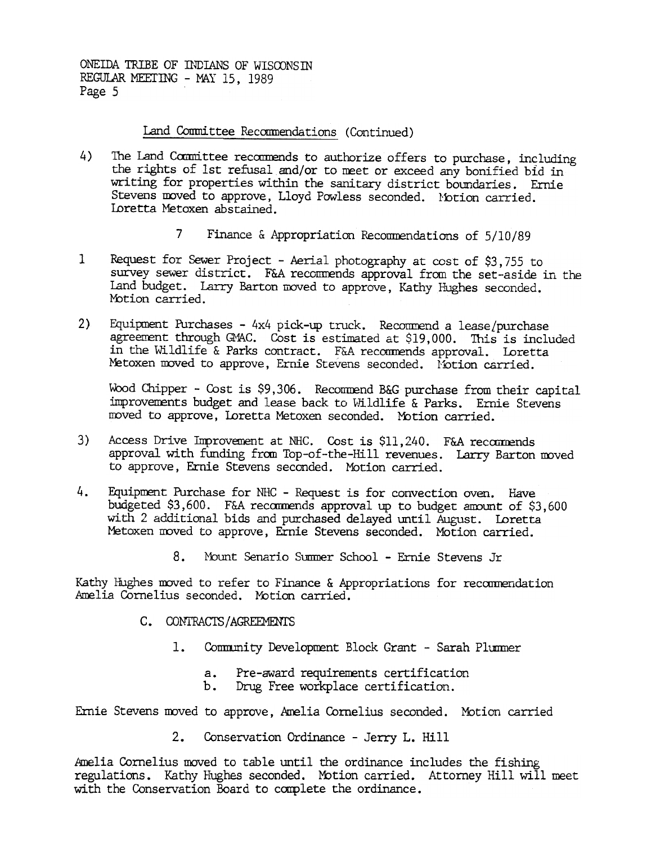### Land Committee Recommendations (Continued)

- 4) The Land Committee recommends to authorize offers to purchase, including the rights of 1st refusal and/or to meet or exceed any bonified bid in writing for properties within the sanitary district boundaries. Ernie Stevens moved to approve, Lloyd Powless seconded. Motion carried. Loretta Metoxen abstained.
	- 7 Finance & Appropriation Recommendations of 5/10/89
- 1 Request for Sewer Project Aerial photography at cost of \$3,755 to survey sewer district. F&A recommends approval from the set-aside in the Land budget. Larry Barton moved to approve, Kathy Hughes seconded. Motion carried.
- 2) Equipment Purchases 4x4 pick-up truck. Recommend a lease/purchase agreement through GMAC. Cost is estimated at \$19,000. This is included in the Wildlife & Parks contract. F&A recommends approval. Loretta Metoxen moved to approve, Ernie Stevens seconded. Notion carried.

Wood Chipper - Cost is \$9,306. Recommend B&G purchase from their capital improvements budget and lease back to Wildlife & Parks. Ernie Stevens moved to approve, Loretta Metoxen seconded. Motion carried.

- 3) Access Drive Improvement at NHC. Cost is \$11,240. F&A recommen approval with funding from Top-of-the-Hill revenues. Larry Barton moved to approve, Ernie Stevens seconded. Mbtion carried.
- Equipment Purchase for NHC Request is for convection oven. Have  $4.$ budgeted \$3,600. F&A recommends approval up to budget amount of \$3,600 with 2 additional bids and purchased delayed until August. Loretta Metoxen moved to approve, Ernie Stevens seconded. Motion carried.
	- $8.$ Mount Senario Summer School - Ernie Stevens Jr

Kathy Hughes moved to refer to Finance  $\&$  Appropriations for recommendation Amelia Cornelius seconded. Motion carried.

- C. CONTRACTS/AGREEMENTS
	- - Pre-award requirements certification a.
		- Drug Free workplace certification. b.

Ernie Stevens moved to approve, Amelia Cornelius seconded. Motion carried

2. Conservation Ordinance -Jerry L. Hill

1. Community Development Block Grant - Sarah Plunner<br>
2. Pre-award requirements certification<br>
5. Drug Free workplace certification.<br>
2. Conservation Ordinance - Jerry L. Hill<br>
4. Amelia Cornelius moved to table until the Amelia Cornelius moved to table until the ordinance includes the fishing regulations. Kathy Hughes seconded. Mbtion carried. Attorney Hill will meet with the Conservation Board to complete the ordinance.